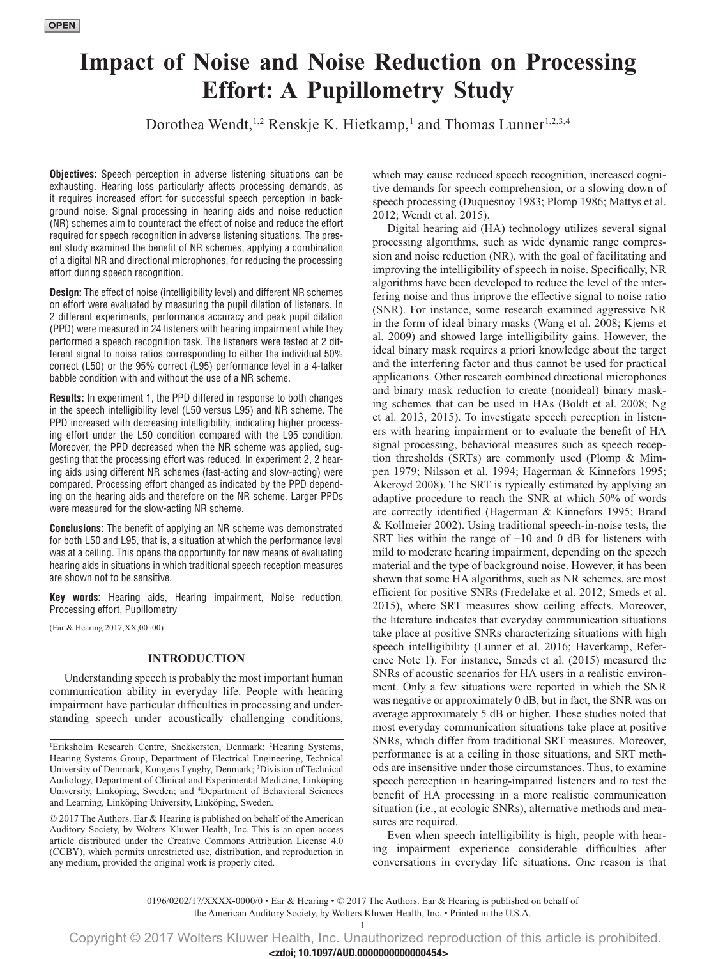# **Impact of Noise and Noise Reduction on Processing Effort: A Pupillometry Study**

Dorothea Wendt,<sup>1,2</sup> Renskje K. Hietkamp,<sup>1</sup> and Thomas Lunner<sup>1,2,3,4</sup>

**Objectives:** Speech perception in adverse listening situations can be exhausting. Hearing loss particularly affects processing demands, as it requires increased effort for successful speech perception in background noise. Signal processing in hearing aids and noise reduction (NR) schemes aim to counteract the effect of noise and reduce the effort required for speech recognition in adverse listening situations. The present study examined the benefit of NR schemes, applying a combination of a digital NR and directional microphones, for reducing the processing effort during speech recognition.

**Design:** The effect of noise (intelligibility level) and different NR schemes on effort were evaluated by measuring the pupil dilation of listeners. In 2 different experiments, performance accuracy and peak pupil dilation (PPD) were measured in 24 listeners with hearing impairment while they performed a speech recognition task. The listeners were tested at 2 different signal to noise ratios corresponding to either the individual 50% correct (L50) or the 95% correct (L95) performance level in a 4-talker babble condition with and without the use of a NR scheme.

**Results:** In experiment 1, the PPD differed in response to both changes in the speech intelligibility level (L50 versus L95) and NR scheme. The PPD increased with decreasing intelligibility, indicating higher processing effort under the L50 condition compared with the L95 condition. Moreover, the PPD decreased when the NR scheme was applied, suggesting that the processing effort was reduced. In experiment 2, 2 hearing aids using different NR schemes (fast-acting and slow-acting) were compared. Processing effort changed as indicated by the PPD depending on the hearing aids and therefore on the NR scheme. Larger PPDs were measured for the slow-acting NR scheme.

**Conclusions:** The benefit of applying an NR scheme was demonstrated for both L50 and L95, that is, a situation at which the performance level was at a ceiling. This opens the opportunity for new means of evaluating hearing aids in situations in which traditional speech reception measures are shown not to be sensitive.

**Key words:** Hearing aids, Hearing impairment, Noise reduction, Processing effort, Pupillometry

(Ear & Hearing 2017;XX;00–00)

# **INTRODUCTION**

Understanding speech is probably the most important human communication ability in everyday life. People with hearing impairment have particular difficulties in processing and understanding speech under acoustically challenging conditions, which may cause reduced speech recognition, increased cognitive demands for speech comprehension, or a slowing down of speech processing (Duquesnoy 1983; Plomp 1986; Mattys et al. 2012; Wendt et al. 2015).

Digital hearing aid (HA) technology utilizes several signal processing algorithms, such as wide dynamic range compression and noise reduction (NR), with the goal of facilitating and improving the intelligibility of speech in noise. Specifically, NR algorithms have been developed to reduce the level of the interfering noise and thus improve the effective signal to noise ratio (SNR). For instance, some research examined aggressive NR in the form of ideal binary masks (Wang et al. 2008; Kjems et al. 2009) and showed large intelligibility gains. However, the ideal binary mask requires a priori knowledge about the target and the interfering factor and thus cannot be used for practical applications. Other research combined directional microphones and binary mask reduction to create (nonideal) binary masking schemes that can be used in HAs (Boldt et al. 2008; Ng et al. 2013, 2015). To investigate speech perception in listeners with hearing impairment or to evaluate the benefit of HA signal processing, behavioral measures such as speech reception thresholds (SRTs) are commonly used (Plomp & Mimpen 1979; Nilsson et al. 1994; Hagerman & Kinnefors 1995; Akeroyd 2008). The SRT is typically estimated by applying an adaptive procedure to reach the SNR at which 50% of words are correctly identified (Hagerman & Kinnefors 1995; Brand & Kollmeier 2002). Using traditional speech-in-noise tests, the SRT lies within the range of −10 and 0 dB for listeners with mild to moderate hearing impairment, depending on the speech material and the type of background noise. However, it has been shown that some HA algorithms, such as NR schemes, are most efficient for positive SNRs (Fredelake et al. 2012; Smeds et al. 2015), where SRT measures show ceiling effects. Moreover, the literature indicates that everyday communication situations take place at positive SNRs characterizing situations with high speech intelligibility (Lunner et al. 2016; Haverkamp, Reference Note 1). For instance, Smeds et al. (2015) measured the SNRs of acoustic scenarios for HA users in a realistic environment. Only a few situations were reported in which the SNR was negative or approximately 0 dB, but in fact, the SNR was on average approximately 5 dB or higher. These studies noted that most everyday communication situations take place at positive SNRs, which differ from traditional SRT measures. Moreover, performance is at a ceiling in those situations, and SRT methods are insensitive under those circumstances. Thus, to examine speech perception in hearing-impaired listeners and to test the benefit of HA processing in a more realistic communication situation (i.e., at ecologic SNRs), alternative methods and measures are required.

Even when speech intelligibility is high, people with hearing impairment experience considerable difficulties after conversations in everyday life situations. One reason is that

0196/0202/17/XXXX-0000/0 • Ear & Hearing • © 2017 The Authors. Ear & Hearing is published on behalf of

the American Auditory Society, by Wolters Kluwer Health, Inc. • Printed in the U.S.A. 1

Copyright © 2017 Wolters Kluwer Health, Inc. Unauthorized reproduction of this article is prohibited. **<zdoi; 10.1097/AUD.0000000000000454>**

<sup>&</sup>lt;sup>1</sup>Eriksholm Research Centre, Snekkersten, Denmark; <sup>2</sup>Hearing Systems, Hearing Systems Group, Department of Electrical Engineering, Technical University of Denmark, Kongens Lyngby, Denmark; <sup>3</sup>Division of Technical Audiology, Department of Clinical and Experimental Medicine, Linköping University, Linköping, Sweden; and 4 Department of Behavioral Sciences and Learning, Linköping University, Linköping, Sweden.

<sup>© 2017</sup> The Authors. Ear & Hearing is published on behalf of the American Auditory Society, by Wolters Kluwer Health, Inc. This is an open access article distributed under the [Creative Commons Attribution License 4.0](http://creativecommons.org/licenses/by/4.0/)  [\(CCBY\),](http://creativecommons.org/licenses/by/4.0/) which permits unrestricted use, distribution, and reproduction in any medium, provided the original work is properly cited.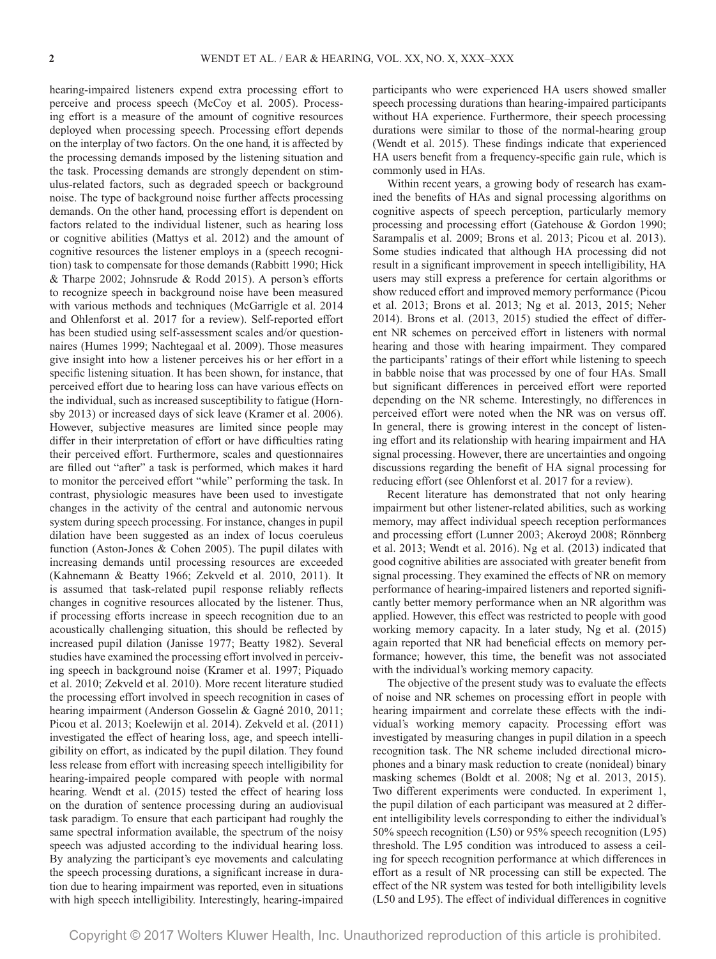hearing-impaired listeners expend extra processing effort to perceive and process speech (McCoy et al. 2005). Processing effort is a measure of the amount of cognitive resources deployed when processing speech. Processing effort depends on the interplay of two factors. On the one hand, it is affected by the processing demands imposed by the listening situation and the task. Processing demands are strongly dependent on stimulus-related factors, such as degraded speech or background noise. The type of background noise further affects processing demands. On the other hand, processing effort is dependent on factors related to the individual listener, such as hearing loss or cognitive abilities (Mattys et al. 2012) and the amount of cognitive resources the listener employs in a (speech recognition) task to compensate for those demands (Rabbitt 1990; Hick & Tharpe 2002; Johnsrude & Rodd 2015). A person's efforts to recognize speech in background noise have been measured with various methods and techniques (McGarrigle et al. 2014 and Ohlenforst et al. 2017 for a review). Self-reported effort has been studied using self-assessment scales and/or questionnaires (Humes 1999; Nachtegaal et al. 2009). Those measures give insight into how a listener perceives his or her effort in a specific listening situation. It has been shown, for instance, that perceived effort due to hearing loss can have various effects on the individual, such as increased susceptibility to fatigue (Hornsby 2013) or increased days of sick leave (Kramer et al. 2006). However, subjective measures are limited since people may differ in their interpretation of effort or have difficulties rating their perceived effort. Furthermore, scales and questionnaires are filled out "after" a task is performed, which makes it hard to monitor the perceived effort "while" performing the task. In contrast, physiologic measures have been used to investigate changes in the activity of the central and autonomic nervous system during speech processing. For instance, changes in pupil dilation have been suggested as an index of locus coeruleus function (Aston-Jones & Cohen 2005). The pupil dilates with increasing demands until processing resources are exceeded (Kahnemann & Beatty 1966; Zekveld et al. 2010, 2011). It is assumed that task-related pupil response reliably reflects changes in cognitive resources allocated by the listener. Thus, if processing efforts increase in speech recognition due to an acoustically challenging situation, this should be reflected by increased pupil dilation (Janisse 1977; Beatty 1982). Several studies have examined the processing effort involved in perceiving speech in background noise (Kramer et al. 1997; Piquado et al. 2010; Zekveld et al. 2010). More recent literature studied the processing effort involved in speech recognition in cases of hearing impairment (Anderson Gosselin & Gagné 2010, 2011; Picou et al. 2013; Koelewijn et al. 2014). Zekveld et al. (2011) investigated the effect of hearing loss, age, and speech intelligibility on effort, as indicated by the pupil dilation. They found less release from effort with increasing speech intelligibility for hearing-impaired people compared with people with normal hearing. Wendt et al. (2015) tested the effect of hearing loss on the duration of sentence processing during an audiovisual task paradigm. To ensure that each participant had roughly the same spectral information available, the spectrum of the noisy speech was adjusted according to the individual hearing loss. By analyzing the participant's eye movements and calculating the speech processing durations, a significant increase in duration due to hearing impairment was reported, even in situations with high speech intelligibility. Interestingly, hearing-impaired

participants who were experienced HA users showed smaller speech processing durations than hearing-impaired participants without HA experience. Furthermore, their speech processing durations were similar to those of the normal-hearing group (Wendt et al. 2015). These findings indicate that experienced HA users benefit from a frequency-specific gain rule, which is commonly used in HAs.

Within recent years, a growing body of research has examined the benefits of HAs and signal processing algorithms on cognitive aspects of speech perception, particularly memory processing and processing effort (Gatehouse & Gordon 1990; Sarampalis et al. 2009; Brons et al. 2013; Picou et al. 2013). Some studies indicated that although HA processing did not result in a significant improvement in speech intelligibility, HA users may still express a preference for certain algorithms or show reduced effort and improved memory performance (Picou et al. 2013; Brons et al. 2013; Ng et al. 2013, 2015; Neher 2014). Brons et al. (2013, 2015) studied the effect of different NR schemes on perceived effort in listeners with normal hearing and those with hearing impairment. They compared the participants' ratings of their effort while listening to speech in babble noise that was processed by one of four HAs. Small but significant differences in perceived effort were reported depending on the NR scheme. Interestingly, no differences in perceived effort were noted when the NR was on versus off. In general, there is growing interest in the concept of listening effort and its relationship with hearing impairment and HA signal processing. However, there are uncertainties and ongoing discussions regarding the benefit of HA signal processing for reducing effort (see Ohlenforst et al. 2017 for a review).

Recent literature has demonstrated that not only hearing impairment but other listener-related abilities, such as working memory, may affect individual speech reception performances and processing effort (Lunner 2003; Akeroyd 2008; Rönnberg et al. 2013; Wendt et al. 2016). Ng et al. (2013) indicated that good cognitive abilities are associated with greater benefit from signal processing. They examined the effects of NR on memory performance of hearing-impaired listeners and reported significantly better memory performance when an NR algorithm was applied. However, this effect was restricted to people with good working memory capacity. In a later study, Ng et al. (2015) again reported that NR had beneficial effects on memory performance; however, this time, the benefit was not associated with the individual's working memory capacity.

The objective of the present study was to evaluate the effects of noise and NR schemes on processing effort in people with hearing impairment and correlate these effects with the individual's working memory capacity. Processing effort was investigated by measuring changes in pupil dilation in a speech recognition task. The NR scheme included directional microphones and a binary mask reduction to create (nonideal) binary masking schemes (Boldt et al. 2008; Ng et al. 2013, 2015). Two different experiments were conducted. In experiment 1, the pupil dilation of each participant was measured at 2 different intelligibility levels corresponding to either the individual's 50% speech recognition (L50) or 95% speech recognition (L95) threshold. The L95 condition was introduced to assess a ceiling for speech recognition performance at which differences in effort as a result of NR processing can still be expected. The effect of the NR system was tested for both intelligibility levels (L50 and L95). The effect of individual differences in cognitive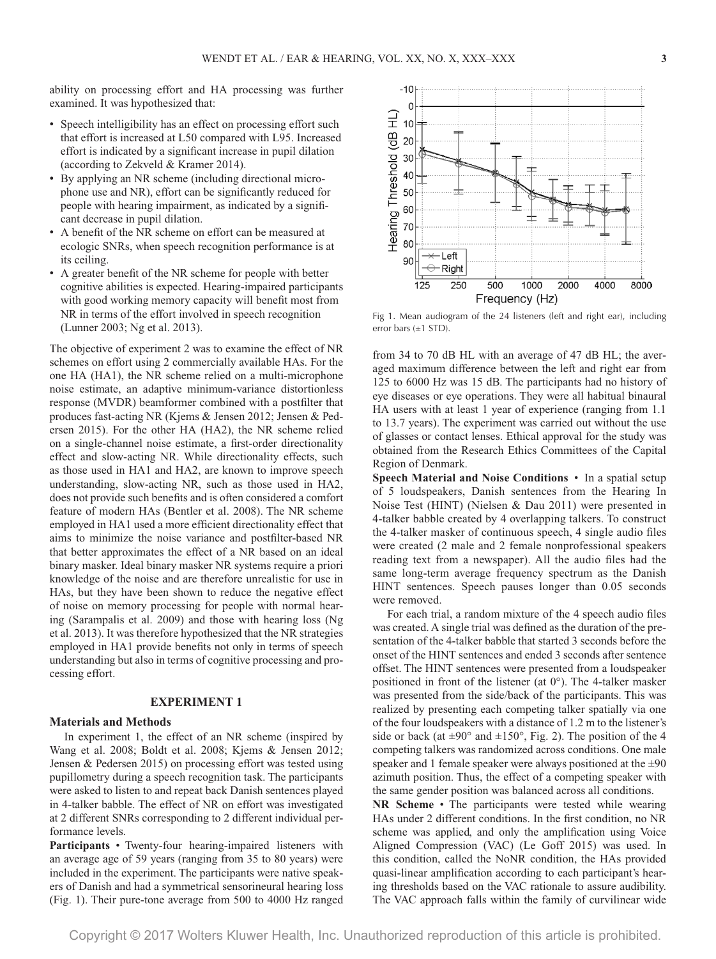ability on processing effort and HA processing was further examined. It was hypothesized that:

- Speech intelligibility has an effect on processing effort such that effort is increased at L50 compared with L95. Increased effort is indicated by a significant increase in pupil dilation (according to Zekveld & Kramer 2014).
- By applying an NR scheme (including directional microphone use and NR), effort can be significantly reduced for people with hearing impairment, as indicated by a significant decrease in pupil dilation.
- A benefit of the NR scheme on effort can be measured at ecologic SNRs, when speech recognition performance is at its ceiling.
- A greater benefit of the NR scheme for people with better cognitive abilities is expected. Hearing-impaired participants with good working memory capacity will benefit most from NR in terms of the effort involved in speech recognition (Lunner 2003; Ng et al. 2013).

The objective of experiment 2 was to examine the effect of NR schemes on effort using 2 commercially available HAs. For the one HA (HA1), the NR scheme relied on a multi-microphone noise estimate, an adaptive minimum-variance distortionless response (MVDR) beamformer combined with a postfilter that produces fast-acting NR (Kjems & Jensen 2012; Jensen & Pedersen 2015). For the other HA (HA2), the NR scheme relied on a single-channel noise estimate, a first-order directionality effect and slow-acting NR. While directionality effects, such as those used in HA1 and HA2, are known to improve speech understanding, slow-acting NR, such as those used in HA2, does not provide such benefits and is often considered a comfort feature of modern HAs (Bentler et al. 2008). The NR scheme employed in HA1 used a more efficient directionality effect that aims to minimize the noise variance and postfilter-based NR that better approximates the effect of a NR based on an ideal binary masker. Ideal binary masker NR systems require a priori knowledge of the noise and are therefore unrealistic for use in HAs, but they have been shown to reduce the negative effect of noise on memory processing for people with normal hearing (Sarampalis et al. 2009) and those with hearing loss (Ng et al. 2013). It was therefore hypothesized that the NR strategies employed in HA1 provide benefits not only in terms of speech understanding but also in terms of cognitive processing and processing effort.

## **EXPERIMENT 1**

## **Materials and Methods**

In experiment 1, the effect of an NR scheme (inspired by Wang et al. 2008; Boldt et al. 2008; Kjems & Jensen 2012; Jensen & Pedersen 2015) on processing effort was tested using pupillometry during a speech recognition task. The participants were asked to listen to and repeat back Danish sentences played in 4-talker babble. The effect of NR on effort was investigated at 2 different SNRs corresponding to 2 different individual performance levels.

**Participants** • Twenty-four hearing-impaired listeners with an average age of 59 years (ranging from 35 to 80 years) were included in the experiment. The participants were native speakers of Danish and had a symmetrical sensorineural hearing loss (Fig. 1). Their pure-tone average from 500 to 4000 Hz ranged



Fig 1. Mean audiogram of the 24 listeners (left and right ear), including error bars (±1 STD).

from 34 to 70 dB HL with an average of 47 dB HL; the averaged maximum difference between the left and right ear from 125 to 6000 Hz was 15 dB. The participants had no history of eye diseases or eye operations. They were all habitual binaural HA users with at least 1 year of experience (ranging from 1.1 to 13.7 years). The experiment was carried out without the use of glasses or contact lenses. Ethical approval for the study was obtained from the Research Ethics Committees of the Capital Region of Denmark.

**Speech Material and Noise Conditions** • In a spatial setup of 5 loudspeakers, Danish sentences from the Hearing In Noise Test (HINT) (Nielsen & Dau 2011) were presented in 4-talker babble created by 4 overlapping talkers. To construct the 4-talker masker of continuous speech, 4 single audio files were created (2 male and 2 female nonprofessional speakers reading text from a newspaper). All the audio files had the same long-term average frequency spectrum as the Danish HINT sentences. Speech pauses longer than 0.05 seconds were removed.

For each trial, a random mixture of the 4 speech audio files was created. A single trial was defined as the duration of the presentation of the 4-talker babble that started 3 seconds before the onset of the HINT sentences and ended 3 seconds after sentence offset. The HINT sentences were presented from a loudspeaker positioned in front of the listener (at 0°). The 4-talker masker was presented from the side/back of the participants. This was realized by presenting each competing talker spatially via one of the four loudspeakers with a distance of 1.2 m to the listener's side or back (at  $\pm 90^\circ$  and  $\pm 150^\circ$ , Fig. 2). The position of the 4 competing talkers was randomized across conditions. One male speaker and 1 female speaker were always positioned at the  $\pm 90$ azimuth position. Thus, the effect of a competing speaker with the same gender position was balanced across all conditions.

**NR Scheme** • The participants were tested while wearing HAs under 2 different conditions. In the first condition, no NR scheme was applied, and only the amplification using Voice Aligned Compression (VAC) (Le Goff 2015) was used. In this condition, called the NoNR condition, the HAs provided quasi-linear amplification according to each participant's hearing thresholds based on the VAC rationale to assure audibility. The VAC approach falls within the family of curvilinear wide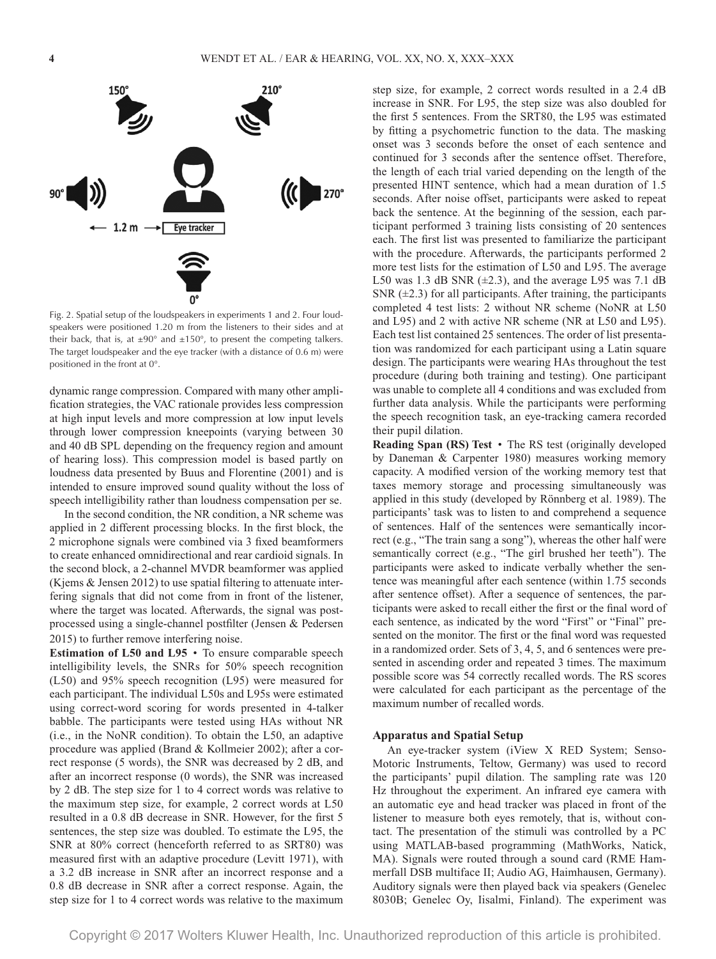

Fig. 2. Spatial setup of the loudspeakers in experiments 1 and 2. Four loudspeakers were positioned 1.20 m from the listeners to their sides and at their back, that is, at  $\pm 90^\circ$  and  $\pm 150^\circ$ , to present the competing talkers. The target loudspeaker and the eye tracker (with a distance of 0.6 m) were positioned in the front at 0°.

dynamic range compression. Compared with many other amplification strategies, the VAC rationale provides less compression at high input levels and more compression at low input levels through lower compression kneepoints (varying between 30 and 40 dB SPL depending on the frequency region and amount of hearing loss). This compression model is based partly on loudness data presented by Buus and Florentine (2001) and is intended to ensure improved sound quality without the loss of speech intelligibility rather than loudness compensation per se.

In the second condition, the NR condition, a NR scheme was applied in 2 different processing blocks. In the first block, the 2 microphone signals were combined via 3 fixed beamformers to create enhanced omnidirectional and rear cardioid signals. In the second block, a 2-channel MVDR beamformer was applied (Kjems & Jensen 2012) to use spatial filtering to attenuate interfering signals that did not come from in front of the listener, where the target was located. Afterwards, the signal was postprocessed using a single-channel postfilter (Jensen & Pedersen 2015) to further remove interfering noise.

**Estimation of L50 and L95** • To ensure comparable speech intelligibility levels, the SNRs for 50% speech recognition (L50) and 95% speech recognition (L95) were measured for each participant. The individual L50s and L95s were estimated using correct-word scoring for words presented in 4-talker babble. The participants were tested using HAs without NR (i.e., in the NoNR condition). To obtain the L50, an adaptive procedure was applied (Brand & Kollmeier 2002); after a correct response (5 words), the SNR was decreased by 2 dB, and after an incorrect response (0 words), the SNR was increased by 2 dB. The step size for 1 to 4 correct words was relative to the maximum step size, for example, 2 correct words at L50 resulted in a 0.8 dB decrease in SNR. However, for the first 5 sentences, the step size was doubled. To estimate the L95, the SNR at 80% correct (henceforth referred to as SRT80) was measured first with an adaptive procedure (Levitt 1971), with a 3.2 dB increase in SNR after an incorrect response and a 0.8 dB decrease in SNR after a correct response. Again, the step size for 1 to 4 correct words was relative to the maximum step size, for example, 2 correct words resulted in a 2.4 dB increase in SNR. For L95, the step size was also doubled for the first 5 sentences. From the SRT80, the L95 was estimated by fitting a psychometric function to the data. The masking onset was 3 seconds before the onset of each sentence and continued for 3 seconds after the sentence offset. Therefore, the length of each trial varied depending on the length of the presented HINT sentence, which had a mean duration of 1.5 seconds. After noise offset, participants were asked to repeat back the sentence. At the beginning of the session, each participant performed 3 training lists consisting of 20 sentences each. The first list was presented to familiarize the participant with the procedure. Afterwards, the participants performed 2 more test lists for the estimation of L50 and L95. The average L50 was 1.3 dB SNR  $(\pm 2.3)$ , and the average L95 was 7.1 dB SNR  $(\pm 2.3)$  for all participants. After training, the participants completed 4 test lists: 2 without NR scheme (NoNR at L50 and L95) and 2 with active NR scheme (NR at L50 and L95). Each test list contained 25 sentences. The order of list presentation was randomized for each participant using a Latin square design. The participants were wearing HAs throughout the test procedure (during both training and testing). One participant was unable to complete all 4 conditions and was excluded from further data analysis. While the participants were performing the speech recognition task, an eye-tracking camera recorded their pupil dilation.

**Reading Span (RS) Test** • The RS test (originally developed by Daneman & Carpenter 1980) measures working memory capacity. A modified version of the working memory test that taxes memory storage and processing simultaneously was applied in this study (developed by Rönnberg et al. 1989). The participants' task was to listen to and comprehend a sequence of sentences. Half of the sentences were semantically incorrect (e.g., "The train sang a song"), whereas the other half were semantically correct (e.g., "The girl brushed her teeth"). The participants were asked to indicate verbally whether the sentence was meaningful after each sentence (within 1.75 seconds after sentence offset). After a sequence of sentences, the participants were asked to recall either the first or the final word of each sentence, as indicated by the word "First" or "Final" presented on the monitor. The first or the final word was requested in a randomized order. Sets of 3, 4, 5, and 6 sentences were presented in ascending order and repeated 3 times. The maximum possible score was 54 correctly recalled words. The RS scores were calculated for each participant as the percentage of the maximum number of recalled words.

#### **Apparatus and Spatial Setup**

An eye-tracker system (iView X RED System; Senso-Motoric Instruments, Teltow, Germany) was used to record the participants' pupil dilation. The sampling rate was 120 Hz throughout the experiment. An infrared eye camera with an automatic eye and head tracker was placed in front of the listener to measure both eyes remotely, that is, without contact. The presentation of the stimuli was controlled by a PC using MATLAB-based programming (MathWorks, Natick, MA). Signals were routed through a sound card (RME Hammerfall DSB multiface II; Audio AG, Haimhausen, Germany). Auditory signals were then played back via speakers (Genelec 8030B; Genelec Oy, Iisalmi, Finland). The experiment was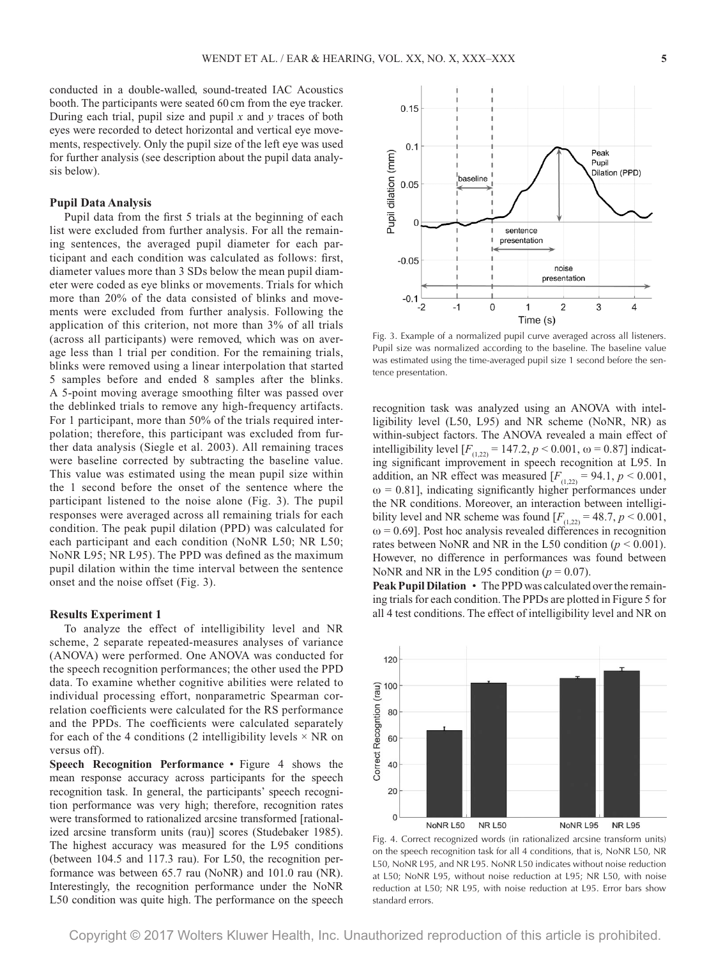conducted in a double-walled, sound-treated IAC Acoustics booth. The participants were seated 60 cm from the eye tracker. During each trial, pupil size and pupil  $x$  and  $y$  traces of both eyes were recorded to detect horizontal and vertical eye movements, respectively. Only the pupil size of the left eye was used for further analysis (see description about the pupil data analysis below).

#### **Pupil Data Analysis**

Pupil data from the first 5 trials at the beginning of each list were excluded from further analysis. For all the remaining sentences, the averaged pupil diameter for each participant and each condition was calculated as follows: first, diameter values more than 3 SDs below the mean pupil diameter were coded as eye blinks or movements. Trials for which more than 20% of the data consisted of blinks and movements were excluded from further analysis. Following the application of this criterion, not more than 3% of all trials (across all participants) were removed, which was on average less than 1 trial per condition. For the remaining trials, blinks were removed using a linear interpolation that started 5 samples before and ended 8 samples after the blinks. A 5-point moving average smoothing filter was passed over the deblinked trials to remove any high-frequency artifacts. For 1 participant, more than 50% of the trials required interpolation; therefore, this participant was excluded from further data analysis (Siegle et al. 2003). All remaining traces were baseline corrected by subtracting the baseline value. This value was estimated using the mean pupil size within the 1 second before the onset of the sentence where the participant listened to the noise alone (Fig. 3). The pupil responses were averaged across all remaining trials for each condition. The peak pupil dilation (PPD) was calculated for each participant and each condition (NoNR L50; NR L50; NoNR L95; NR L95). The PPD was defined as the maximum pupil dilation within the time interval between the sentence onset and the noise offset (Fig. 3).

## **Results Experiment 1**

To analyze the effect of intelligibility level and NR scheme, 2 separate repeated-measures analyses of variance (ANOVA) were performed. One ANOVA was conducted for the speech recognition performances; the other used the PPD data. To examine whether cognitive abilities were related to individual processing effort, nonparametric Spearman correlation coefficients were calculated for the RS performance and the PPDs. The coefficients were calculated separately for each of the 4 conditions (2 intelligibility levels  $\times$  NR on versus off).

**Speech Recognition Performance** • Figure 4 shows the mean response accuracy across participants for the speech recognition task. In general, the participants' speech recognition performance was very high; therefore, recognition rates were transformed to rationalized arcsine transformed [rationalized arcsine transform units (rau)] scores (Studebaker 1985). The highest accuracy was measured for the L95 conditions (between 104.5 and 117.3 rau). For L50, the recognition performance was between 65.7 rau (NoNR) and 101.0 rau (NR). Interestingly, the recognition performance under the NoNR L50 condition was quite high. The performance on the speech



Fig. 3. Example of a normalized pupil curve averaged across all listeners. Pupil size was normalized according to the baseline. The baseline value was estimated using the time-averaged pupil size 1 second before the sentence presentation.

recognition task was analyzed using an ANOVA with intelligibility level (L50, L95) and NR scheme (NoNR, NR) as within-subject factors. The ANOVA revealed a main effect of intelligibility level  $[F_{(1,22)} = 147.2, p < 0.001, \omega = 0.87]$  indicating significant improvement in speech recognition at L95. In addition, an NR effect was measured  $[F_{(1,22)} = 94.1, p \le 0.001,$  $\omega$  = 0.81], indicating significantly higher performances under the NR conditions. Moreover, an interaction between intelligibility level and NR scheme was found  $[F_{(1,22)} = 48.7, p \le 0.001,$  $\omega$  = 0.69]. Post hoc analysis revealed differences in recognition rates between NoNR and NR in the L50 condition ( $p < 0.001$ ). However, no difference in performances was found between NoNR and NR in the L95 condition  $(p = 0.07)$ .

**Peak Pupil Dilation** • The PPD was calculated over the remaining trials for each condition. The PPDs are plotted in Figure 5 for all 4 test conditions. The effect of intelligibility level and NR on



Fig. 4. Correct recognized words (in rationalized arcsine transform units) on the speech recognition task for all 4 conditions, that is, NoNR L50, NR L50, NoNR L95, and NR L95. NoNR L50 indicates without noise reduction at L50; NoNR L95, without noise reduction at L95; NR L50, with noise reduction at L50; NR L95, with noise reduction at L95. Error bars show standard errors.

Copyright © 2017 Wolters Kluwer Health, Inc. Unauthorized reproduction of this article is prohibited.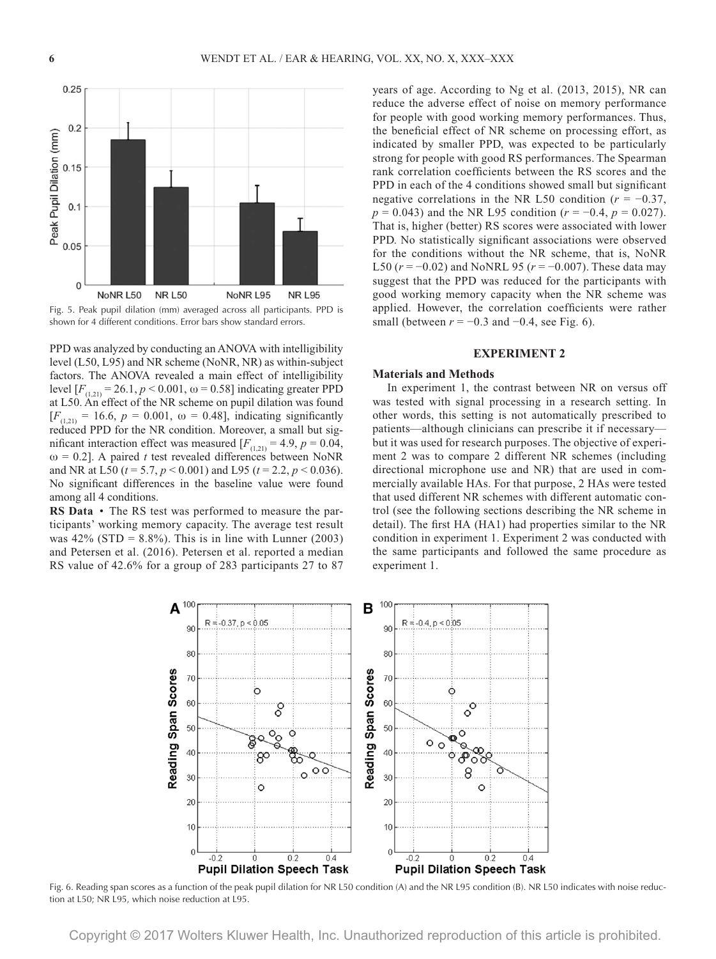



PPD was analyzed by conducting an ANOVA with intelligibility level (L50, L95) and NR scheme (NoNR, NR) as within-subject factors. The ANOVA revealed a main effect of intelligibility level  $[F$ <sub>(1,21)</sub> = 26.1, *p* < 0.001, ω = 0.58] indicating greater PPD at L50. An effect of the NR scheme on pupil dilation was found  $[F_{(1,21)} = 16.6, p = 0.001, \omega = 0.48]$ , indicating significantly reduced PPD for the NR condition. Moreover, a small but significant interaction effect was measured  $[F_{(1,21)} = 4.9, p = 0.04,$  $\omega$  = 0.2]. A paired *t* test revealed differences between NoNR and NR at L50 (*t* = 5.7, *p* < 0.001) and L95 (*t* = 2.2, *p* < 0.036). No significant differences in the baseline value were found among all 4 conditions.

**RS Data** • The RS test was performed to measure the participants' working memory capacity. The average test result was  $42\%$  (STD = 8.8%). This is in line with Lunner (2003) and Petersen et al. (2016). Petersen et al. reported a median RS value of 42.6% for a group of 283 participants 27 to 87 years of age. According to Ng et al. (2013, 2015), NR can reduce the adverse effect of noise on memory performance for people with good working memory performances. Thus, the beneficial effect of NR scheme on processing effort, as indicated by smaller PPD, was expected to be particularly strong for people with good RS performances. The Spearman rank correlation coefficients between the RS scores and the PPD in each of the 4 conditions showed small but significant negative correlations in the NR L50 condition ( $r = -0.37$ , *p* = 0.043) and the NR L95 condition (*r* = −0.4, *p* = 0.027). That is, higher (better) RS scores were associated with lower PPD. No statistically significant associations were observed for the conditions without the NR scheme, that is, NoNR L50 (*r* = −0.02) and NoNRL 95 (*r* = −0.007). These data may suggest that the PPD was reduced for the participants with good working memory capacity when the NR scheme was applied. However, the correlation coefficients were rather small (between  $r = -0.3$  and  $-0.4$ , see Fig. 6).

#### **EXPERIMENT 2**

#### **Materials and Methods**

In experiment 1, the contrast between NR on versus off was tested with signal processing in a research setting. In other words, this setting is not automatically prescribed to patients—although clinicians can prescribe it if necessary but it was used for research purposes. The objective of experiment 2 was to compare 2 different NR schemes (including directional microphone use and NR) that are used in commercially available HAs. For that purpose, 2 HAs were tested that used different NR schemes with different automatic control (see the following sections describing the NR scheme in detail). The first HA (HA1) had properties similar to the NR condition in experiment 1. Experiment 2 was conducted with the same participants and followed the same procedure as experiment 1.



Fig. 6. Reading span scores as a function of the peak pupil dilation for NR L50 condition (A) and the NR L95 condition (B). NR L50 indicates with noise reduction at L50; NR L95, which noise reduction at L95.

Copyright © 2017 Wolters Kluwer Health, Inc. Unauthorized reproduction of this article is prohibited.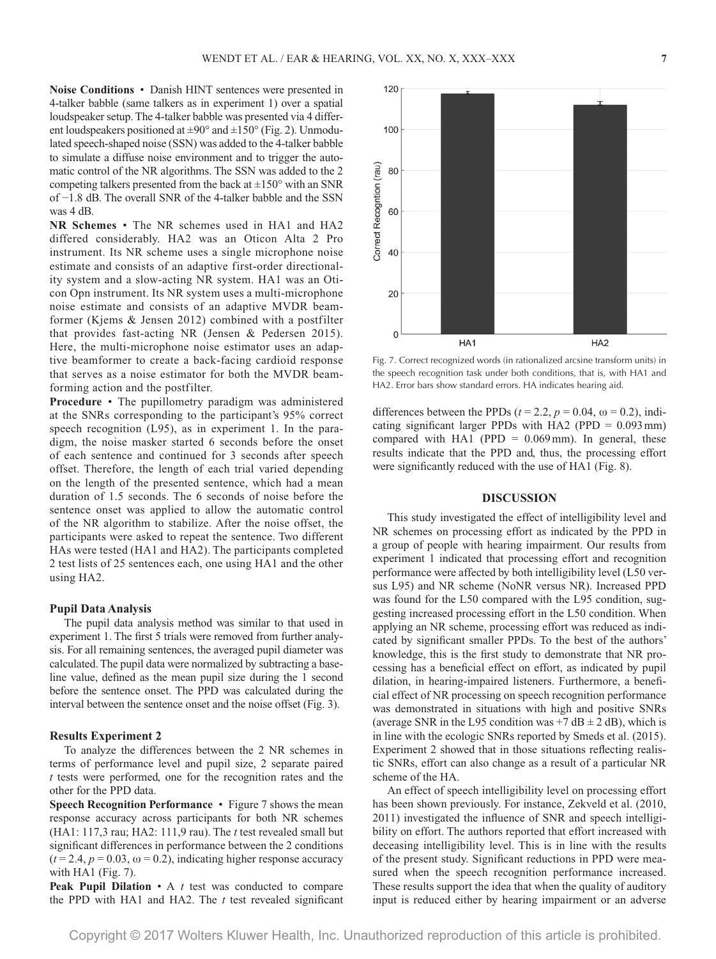**Noise Conditions** • Danish HINT sentences were presented in 4-talker babble (same talkers as in experiment 1) over a spatial loudspeaker setup. The 4-talker babble was presented via 4 different loudspeakers positioned at  $\pm 90^\circ$  and  $\pm 150^\circ$  (Fig. 2). Unmodulated speech-shaped noise (SSN) was added to the 4-talker babble to simulate a diffuse noise environment and to trigger the automatic control of the NR algorithms. The SSN was added to the 2 competing talkers presented from the back at  $\pm 150^\circ$  with an SNR of −1.8 dB. The overall SNR of the 4-talker babble and the SSN was 4 dB.

**NR Schemes** • The NR schemes used in HA1 and HA2 differed considerably. HA2 was an Oticon Alta 2 Pro instrument. Its NR scheme uses a single microphone noise estimate and consists of an adaptive first-order directionality system and a slow-acting NR system. HA1 was an Oticon Opn instrument. Its NR system uses a multi-microphone noise estimate and consists of an adaptive MVDR beamformer (Kjems & Jensen 2012) combined with a postfilter that provides fast-acting NR (Jensen & Pedersen 2015). Here, the multi-microphone noise estimator uses an adaptive beamformer to create a back-facing cardioid response that serves as a noise estimator for both the MVDR beamforming action and the postfilter.

**Procedure** • The pupillometry paradigm was administered at the SNRs corresponding to the participant's 95% correct speech recognition (L95), as in experiment 1. In the paradigm, the noise masker started 6 seconds before the onset of each sentence and continued for 3 seconds after speech offset. Therefore, the length of each trial varied depending on the length of the presented sentence, which had a mean duration of 1.5 seconds. The 6 seconds of noise before the sentence onset was applied to allow the automatic control of the NR algorithm to stabilize. After the noise offset, the participants were asked to repeat the sentence. Two different HAs were tested (HA1 and HA2). The participants completed 2 test lists of 25 sentences each, one using HA1 and the other using HA2.

#### **Pupil Data Analysis**

The pupil data analysis method was similar to that used in experiment 1. The first 5 trials were removed from further analysis. For all remaining sentences, the averaged pupil diameter was calculated. The pupil data were normalized by subtracting a baseline value, defined as the mean pupil size during the 1 second before the sentence onset. The PPD was calculated during the interval between the sentence onset and the noise offset (Fig. 3).

#### **Results Experiment 2**

To analyze the differences between the 2 NR schemes in terms of performance level and pupil size, 2 separate paired *t* tests were performed, one for the recognition rates and the other for the PPD data.

**Speech Recognition Performance** • Figure 7 shows the mean response accuracy across participants for both NR schemes (HA1: 117,3 rau; HA2: 111,9 rau). The *t* test revealed small but significant differences in performance between the 2 conditions  $(t = 2.4, p = 0.03, \omega = 0.2)$ , indicating higher response accuracy with HA1 (Fig. 7).

**Peak Pupil Dilation** • A *t* test was conducted to compare the PPD with HA1 and HA2. The *t* test revealed significant



Fig. 7. Correct recognized words (in rationalized arcsine transform units) in the speech recognition task under both conditions, that is, with HA1 and HA2. Error bars show standard errors. HA indicates hearing aid.

differences between the PPDs ( $t = 2.2$ ,  $p = 0.04$ ,  $\omega = 0.2$ ), indicating significant larger PPDs with HA2 (PPD  $= 0.093$  mm) compared with HA1 (PPD  $= 0.069$  mm). In general, these results indicate that the PPD and, thus, the processing effort were significantly reduced with the use of HA1 (Fig. 8).

## **DISCUSSION**

This study investigated the effect of intelligibility level and NR schemes on processing effort as indicated by the PPD in a group of people with hearing impairment. Our results from experiment 1 indicated that processing effort and recognition performance were affected by both intelligibility level (L50 versus L95) and NR scheme (NoNR versus NR). Increased PPD was found for the L50 compared with the L95 condition, suggesting increased processing effort in the L50 condition. When applying an NR scheme, processing effort was reduced as indicated by significant smaller PPDs. To the best of the authors' knowledge, this is the first study to demonstrate that NR processing has a beneficial effect on effort, as indicated by pupil dilation, in hearing-impaired listeners. Furthermore, a beneficial effect of NR processing on speech recognition performance was demonstrated in situations with high and positive SNRs (average SNR in the L95 condition was  $+7$  dB  $\pm$  2 dB), which is in line with the ecologic SNRs reported by Smeds et al. (2015). Experiment 2 showed that in those situations reflecting realistic SNRs, effort can also change as a result of a particular NR scheme of the HA.

An effect of speech intelligibility level on processing effort has been shown previously. For instance, Zekveld et al. (2010, 2011) investigated the influence of SNR and speech intelligibility on effort. The authors reported that effort increased with deceasing intelligibility level. This is in line with the results of the present study. Significant reductions in PPD were measured when the speech recognition performance increased. These results support the idea that when the quality of auditory input is reduced either by hearing impairment or an adverse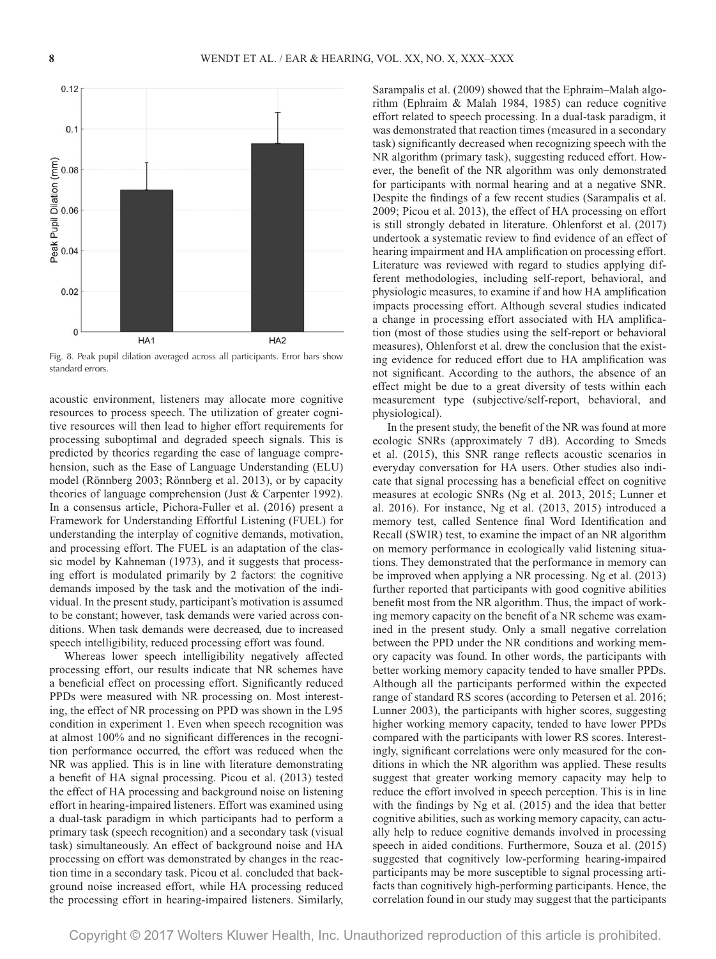

Fig. 8. Peak pupil dilation averaged across all participants. Error bars show standard errors.

acoustic environment, listeners may allocate more cognitive resources to process speech. The utilization of greater cognitive resources will then lead to higher effort requirements for processing suboptimal and degraded speech signals. This is predicted by theories regarding the ease of language comprehension, such as the Ease of Language Understanding (ELU) model (Rönnberg 2003; Rönnberg et al. 2013), or by capacity theories of language comprehension (Just & Carpenter 1992). In a consensus article, Pichora-Fuller et al. (2016) present a Framework for Understanding Effortful Listening (FUEL) for understanding the interplay of cognitive demands, motivation, and processing effort. The FUEL is an adaptation of the classic model by Kahneman (1973), and it suggests that processing effort is modulated primarily by 2 factors: the cognitive demands imposed by the task and the motivation of the individual. In the present study, participant's motivation is assumed to be constant; however, task demands were varied across conditions. When task demands were decreased, due to increased speech intelligibility, reduced processing effort was found.

Whereas lower speech intelligibility negatively affected processing effort, our results indicate that NR schemes have a beneficial effect on processing effort. Significantly reduced PPDs were measured with NR processing on. Most interesting, the effect of NR processing on PPD was shown in the L95 condition in experiment 1. Even when speech recognition was at almost 100% and no significant differences in the recognition performance occurred, the effort was reduced when the NR was applied. This is in line with literature demonstrating a benefit of HA signal processing. Picou et al. (2013) tested the effect of HA processing and background noise on listening effort in hearing-impaired listeners. Effort was examined using a dual-task paradigm in which participants had to perform a primary task (speech recognition) and a secondary task (visual task) simultaneously. An effect of background noise and HA processing on effort was demonstrated by changes in the reaction time in a secondary task. Picou et al. concluded that background noise increased effort, while HA processing reduced the processing effort in hearing-impaired listeners. Similarly, Sarampalis et al. (2009) showed that the Ephraim–Malah algorithm (Ephraim & Malah 1984, 1985) can reduce cognitive effort related to speech processing. In a dual-task paradigm, it was demonstrated that reaction times (measured in a secondary task) significantly decreased when recognizing speech with the NR algorithm (primary task), suggesting reduced effort. However, the benefit of the NR algorithm was only demonstrated for participants with normal hearing and at a negative SNR. Despite the findings of a few recent studies (Sarampalis et al. 2009; Picou et al. 2013), the effect of HA processing on effort is still strongly debated in literature. Ohlenforst et al. (2017) undertook a systematic review to find evidence of an effect of hearing impairment and HA amplification on processing effort. Literature was reviewed with regard to studies applying different methodologies, including self-report, behavioral, and physiologic measures, to examine if and how HA amplification impacts processing effort. Although several studies indicated a change in processing effort associated with HA amplification (most of those studies using the self-report or behavioral measures), Ohlenforst et al. drew the conclusion that the existing evidence for reduced effort due to HA amplification was not significant. According to the authors, the absence of an effect might be due to a great diversity of tests within each measurement type (subjective/self-report, behavioral, and physiological).

In the present study, the benefit of the NR was found at more ecologic SNRs (approximately 7 dB). According to Smeds et al. (2015), this SNR range reflects acoustic scenarios in everyday conversation for HA users. Other studies also indicate that signal processing has a beneficial effect on cognitive measures at ecologic SNRs (Ng et al. 2013, 2015; Lunner et al. 2016). For instance, Ng et al. (2013, 2015) introduced a memory test, called Sentence final Word Identification and Recall (SWIR) test, to examine the impact of an NR algorithm on memory performance in ecologically valid listening situations. They demonstrated that the performance in memory can be improved when applying a NR processing. Ng et al. (2013) further reported that participants with good cognitive abilities benefit most from the NR algorithm. Thus, the impact of working memory capacity on the benefit of a NR scheme was examined in the present study. Only a small negative correlation between the PPD under the NR conditions and working memory capacity was found. In other words, the participants with better working memory capacity tended to have smaller PPDs. Although all the participants performed within the expected range of standard RS scores (according to Petersen et al. 2016; Lunner 2003), the participants with higher scores, suggesting higher working memory capacity, tended to have lower PPDs compared with the participants with lower RS scores. Interestingly, significant correlations were only measured for the conditions in which the NR algorithm was applied. These results suggest that greater working memory capacity may help to reduce the effort involved in speech perception. This is in line with the findings by Ng et al. (2015) and the idea that better cognitive abilities, such as working memory capacity, can actually help to reduce cognitive demands involved in processing speech in aided conditions. Furthermore, Souza et al. (2015) suggested that cognitively low-performing hearing-impaired participants may be more susceptible to signal processing artifacts than cognitively high-performing participants. Hence, the correlation found in our study may suggest that the participants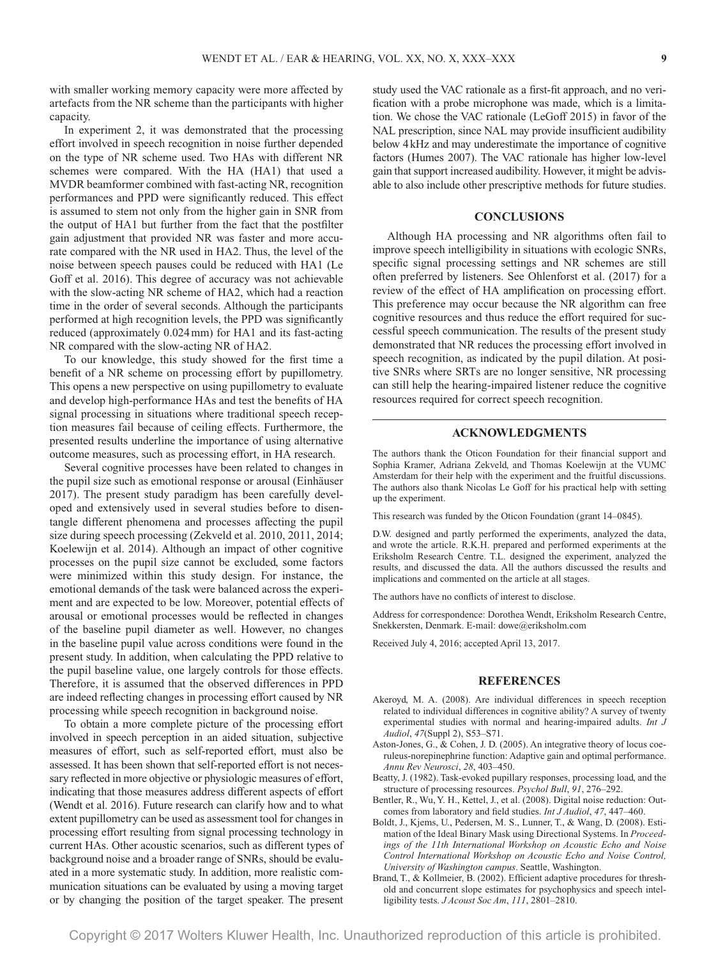with smaller working memory capacity were more affected by artefacts from the NR scheme than the participants with higher capacity.

In experiment 2, it was demonstrated that the processing effort involved in speech recognition in noise further depended on the type of NR scheme used. Two HAs with different NR schemes were compared. With the HA (HA1) that used a MVDR beamformer combined with fast-acting NR, recognition performances and PPD were significantly reduced. This effect is assumed to stem not only from the higher gain in SNR from the output of HA1 but further from the fact that the postfilter gain adjustment that provided NR was faster and more accurate compared with the NR used in HA2. Thus, the level of the noise between speech pauses could be reduced with HA1 (Le Goff et al. 2016). This degree of accuracy was not achievable with the slow-acting NR scheme of HA2, which had a reaction time in the order of several seconds. Although the participants performed at high recognition levels, the PPD was significantly reduced (approximately 0.024mm) for HA1 and its fast-acting NR compared with the slow-acting NR of HA2.

To our knowledge, this study showed for the first time a benefit of a NR scheme on processing effort by pupillometry. This opens a new perspective on using pupillometry to evaluate and develop high-performance HAs and test the benefits of HA signal processing in situations where traditional speech reception measures fail because of ceiling effects. Furthermore, the presented results underline the importance of using alternative outcome measures, such as processing effort, in HA research.

Several cognitive processes have been related to changes in the pupil size such as emotional response or arousal (Einhäuser 2017). The present study paradigm has been carefully developed and extensively used in several studies before to disentangle different phenomena and processes affecting the pupil size during speech processing (Zekveld et al. 2010, 2011, 2014; Koelewijn et al. 2014). Although an impact of other cognitive processes on the pupil size cannot be excluded, some factors were minimized within this study design. For instance, the emotional demands of the task were balanced across the experiment and are expected to be low. Moreover, potential effects of arousal or emotional processes would be reflected in changes of the baseline pupil diameter as well. However, no changes in the baseline pupil value across conditions were found in the present study. In addition, when calculating the PPD relative to the pupil baseline value, one largely controls for those effects. Therefore, it is assumed that the observed differences in PPD are indeed reflecting changes in processing effort caused by NR processing while speech recognition in background noise.

To obtain a more complete picture of the processing effort involved in speech perception in an aided situation, subjective measures of effort, such as self-reported effort, must also be assessed. It has been shown that self-reported effort is not necessary reflected in more objective or physiologic measures of effort, indicating that those measures address different aspects of effort (Wendt et al. 2016). Future research can clarify how and to what extent pupillometry can be used as assessment tool for changes in processing effort resulting from signal processing technology in current HAs. Other acoustic scenarios, such as different types of background noise and a broader range of SNRs, should be evaluated in a more systematic study. In addition, more realistic communication situations can be evaluated by using a moving target or by changing the position of the target speaker. The present

study used the VAC rationale as a first-fit approach, and no verification with a probe microphone was made, which is a limitation. We chose the VAC rationale (LeGoff 2015) in favor of the NAL prescription, since NAL may provide insufficient audibility below 4kHz and may underestimate the importance of cognitive factors (Humes 2007). The VAC rationale has higher low-level gain that support increased audibility. However, it might be advisable to also include other prescriptive methods for future studies.

## **CONCLUSIONS**

Although HA processing and NR algorithms often fail to improve speech intelligibility in situations with ecologic SNRs, specific signal processing settings and NR schemes are still often preferred by listeners. See Ohlenforst et al. (2017) for a review of the effect of HA amplification on processing effort. This preference may occur because the NR algorithm can free cognitive resources and thus reduce the effort required for successful speech communication. The results of the present study demonstrated that NR reduces the processing effort involved in speech recognition, as indicated by the pupil dilation. At positive SNRs where SRTs are no longer sensitive, NR processing can still help the hearing-impaired listener reduce the cognitive resources required for correct speech recognition.

## **ACKNOWLEDGMENTS**

The authors thank the Oticon Foundation for their financial support and Sophia Kramer, Adriana Zekveld, and Thomas Koelewijn at the VUMC Amsterdam for their help with the experiment and the fruitful discussions. The authors also thank Nicolas Le Goff for his practical help with setting up the experiment.

This research was funded by the Oticon Foundation (grant 14–0845).

D.W. designed and partly performed the experiments, analyzed the data, and wrote the article. R.K.H. prepared and performed experiments at the Eriksholm Research Centre. T.L. designed the experiment, analyzed the results, and discussed the data. All the authors discussed the results and implications and commented on the article at all stages.

The authors have no conflicts of interest to disclose.

Address for correspondence: Dorothea Wendt, Eriksholm Research Centre, Snekkersten, Denmark. E-mail: dowe@eriksholm.com

Received July 4, 2016; accepted April 13, 2017.

#### **REFERENCES**

- Akeroyd, M. A. (2008). Are individual differences in speech reception related to individual differences in cognitive ability? A survey of twenty experimental studies with normal and hearing-impaired adults. *Int J Audiol*, *47*(Suppl 2), S53–S71.
- Aston-Jones, G., & Cohen, J. D. (2005). An integrative theory of locus coeruleus-norepinephrine function: Adaptive gain and optimal performance. *Annu Rev Neurosci*, *28*, 403–450.
- Beatty, J. (1982). Task-evoked pupillary responses, processing load, and the structure of processing resources. *Psychol Bull*, *91*, 276–292.
- Bentler, R., Wu, Y. H., Kettel, J., et al. (2008). Digital noise reduction: Outcomes from laboratory and field studies. *Int J Audiol*, *47*, 447–460.
- Boldt, J., Kjems, U., Pedersen, M. S., Lunner, T., & Wang, D. (2008). Estimation of the Ideal Binary Mask using Directional Systems. In *Proceedings of the 11th International Workshop on Acoustic Echo and Noise Control International Workshop on Acoustic Echo and Noise Control, University of Washington campus*. Seattle, Washington.
- Brand, T., & Kollmeier, B. (2002). Efficient adaptive procedures for threshold and concurrent slope estimates for psychophysics and speech intelligibility tests. *J Acoust Soc Am*, *111*, 2801–2810.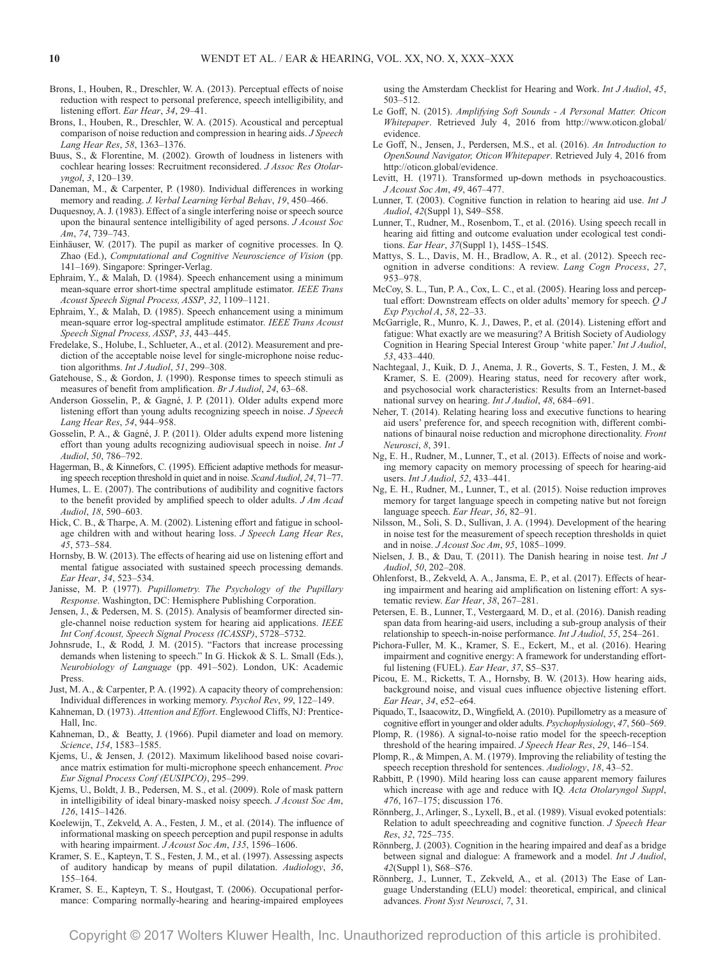- Brons, I., Houben, R., Dreschler, W. A. (2013). Perceptual effects of noise reduction with respect to personal preference, speech intelligibility, and listening effort. *Ear Hear*, *34*, 29–41.
- Brons, I., Houben, R., Dreschler, W. A. (2015). Acoustical and perceptual comparison of noise reduction and compression in hearing aids. *J Speech Lang Hear Res*, *58*, 1363–1376.
- Buus, S., & Florentine, M. (2002). Growth of loudness in listeners with cochlear hearing losses: Recruitment reconsidered. *J Assoc Res Otolaryngol*, *3*, 120–139.
- Daneman, M., & Carpenter, P. (1980). Individual differences in working memory and reading. *J. Verbal Learning Verbal Behav*, *19*, 450–466.
- Duquesnoy, A. J. (1983). Effect of a single interfering noise or speech source upon the binaural sentence intelligibility of aged persons. *J Acoust Soc Am*, *74*, 739–743.
- Einhäuser, W. (2017). The pupil as marker of cognitive processes. In Q. Zhao (Ed.), *Computational and Cognitive Neuroscience of Vision* (pp. 141–169). Singapore: Springer-Verlag.
- Ephraim, Y., & Malah, D. (1984). Speech enhancement using a minimum mean-square error short-time spectral amplitude estimator. *IEEE Trans Acoust Speech Signal Process, ASSP*, *32*, 1109–1121.
- Ephraim, Y., & Malah, D. (1985). Speech enhancement using a minimum mean-square error log-spectral amplitude estimator. *IEEE Trans Acoust Speech Signal Process, ASSP*, *33*, 443–445.
- Fredelake, S., Holube, I., Schlueter, A., et al. (2012). Measurement and prediction of the acceptable noise level for single-microphone noise reduction algorithms. *Int J Audiol*, *51*, 299–308.
- Gatehouse, S., & Gordon, J. (1990). Response times to speech stimuli as measures of benefit from amplification. *Br J Audiol*, *24*, 63–68.
- Anderson Gosselin, P., & Gagné, J. P. (2011). Older adults expend more listening effort than young adults recognizing speech in noise. *J Speech Lang Hear Res*, *54*, 944–958.
- Gosselin, P. A., & Gagné, J. P. (2011). Older adults expend more listening effort than young adults recognizing audiovisual speech in noise. *Int J Audiol*, *50*, 786–792.
- Hagerman, B., & Kinnefors, C. (1995). Efficient adaptive methods for measuring speech reception threshold in quiet and in noise. *Scand Audiol*, *24*, 71–77.
- Humes, L. E. (2007). The contributions of audibility and cognitive factors to the benefit provided by amplified speech to older adults. *J Am Acad Audiol*, *18*, 590–603.
- Hick, C. B., & Tharpe, A. M. (2002). Listening effort and fatigue in schoolage children with and without hearing loss. *J Speech Lang Hear Res*, *45*, 573–584.
- Hornsby, B. W. (2013). The effects of hearing aid use on listening effort and mental fatigue associated with sustained speech processing demands. *Ear Hear*, *34*, 523–534.
- Janisse, M. P. (1977). *Pupillometry. The Psychology of the Pupillary Response*. Washington, DC: Hemisphere Publishing Corporation.
- Jensen, J., & Pedersen, M. S. (2015). Analysis of beamformer directed single-channel noise reduction system for hearing aid applications. *IEEE Int Conf Acoust, Speech Signal Process (ICASSP)*, 5728–5732.
- Johnsrude, I., & Rodd, J. M. (2015). "Factors that increase processing demands when listening to speech." In G. Hickok & S. L. Small (Eds.), *Neurobiology of Language* (pp. 491–502). London, UK: Academic Press.
- Just, M. A., & Carpenter, P. A. (1992). A capacity theory of comprehension: Individual differences in working memory. *Psychol Rev*, *99*, 122–149.
- Kahneman, D. (1973). *Attention and Effort*. Englewood Cliffs, NJ: Prentice-Hall, Inc.
- Kahneman, D., & Beatty, J. (1966). Pupil diameter and load on memory. *Science*, *154*, 1583–1585.
- Kjems, U., & Jensen, J. (2012). Maximum likelihood based noise covariance matrix estimation for multi-microphone speech enhancement. *Proc Eur Signal Process Conf (EUSIPCO)*, 295–299.
- Kjems, U., Boldt, J. B., Pedersen, M. S., et al. (2009). Role of mask pattern in intelligibility of ideal binary-masked noisy speech. *J Acoust Soc Am*, *126*, 1415–1426.
- Koelewijn, T., Zekveld, A. A., Festen, J. M., et al. (2014). The influence of informational masking on speech perception and pupil response in adults with hearing impairment. *J Acoust Soc Am*, *135*, 1596–1606.
- Kramer, S. E., Kapteyn, T. S., Festen, J. M., et al. (1997). Assessing aspects of auditory handicap by means of pupil dilatation. *Audiology*, *36*, 155–164.
- Kramer, S. E., Kapteyn, T. S., Houtgast, T. (2006). Occupational performance: Comparing normally-hearing and hearing-impaired employees

using the Amsterdam Checklist for Hearing and Work. *Int J Audiol*, *45*, 503–512.

- Le Goff, N. (2015). *Amplifying Soft Sounds A Personal Matter. Oticon Whitepaper*. Retrieved July 4, 2016 from [http://www.oticon.global/](http://www.oticon.global/evidence) [evidence.](http://www.oticon.global/evidence)
- Le Goff, N., Jensen, J., Perdersen, M.S., et al. (2016). *An Introduction to OpenSound Navigator, Oticon Whitepaper*. Retrieved July 4, 2016 from <http://oticon.global/evidence>.
- Levitt, H. (1971). Transformed up-down methods in psychoacoustics. *J Acoust Soc Am*, *49*, 467–477.
- Lunner, T. (2003). Cognitive function in relation to hearing aid use. *Int J Audiol*, *42*(Suppl 1), S49–S58.
- Lunner, T., Rudner, M., Rosenbom, T., et al. (2016). Using speech recall in hearing aid fitting and outcome evaluation under ecological test conditions. *Ear Hear*, *37*(Suppl 1), 145S–154S.
- Mattys, S. L., Davis, M. H., Bradlow, A. R., et al. (2012). Speech recognition in adverse conditions: A review. *Lang Cogn Process*, *27*, 953–978.
- McCoy, S. L., Tun, P. A., Cox, L. C., et al. (2005). Hearing loss and perceptual effort: Downstream effects on older adults' memory for speech. *Q J Exp Psychol A*, *58*, 22–33.
- McGarrigle, R., Munro, K. J., Dawes, P., et al. (2014). Listening effort and fatigue: What exactly are we measuring? A British Society of Audiology Cognition in Hearing Special Interest Group 'white paper.' *Int J Audiol*, *53*, 433–440.
- Nachtegaal, J., Kuik, D. J., Anema, J. R., Goverts, S. T., Festen, J. M., & Kramer, S. E. (2009). Hearing status, need for recovery after work, and psychosocial work characteristics: Results from an Internet-based national survey on hearing. *Int J Audiol*, *48*, 684–691.
- Neher, T. (2014). Relating hearing loss and executive functions to hearing aid users' preference for, and speech recognition with, different combinations of binaural noise reduction and microphone directionality. *Front Neurosci*, *8*, 391.
- Ng, E. H., Rudner, M., Lunner, T., et al. (2013). Effects of noise and working memory capacity on memory processing of speech for hearing-aid users. *Int J Audiol*, *52*, 433–441.
- Ng, E. H., Rudner, M., Lunner, T., et al. (2015). Noise reduction improves memory for target language speech in competing native but not foreign language speech. *Ear Hear*, *36*, 82–91.
- Nilsson, M., Soli, S. D., Sullivan, J. A. (1994). Development of the hearing in noise test for the measurement of speech reception thresholds in quiet and in noise. *J Acoust Soc Am*, *95*, 1085–1099.
- Nielsen, J. B., & Dau, T. (2011). The Danish hearing in noise test. *Int J Audiol*, *50*, 202–208.
- Ohlenforst, B., Zekveld, A. A., Jansma, E. P., et al. (2017). Effects of hearing impairment and hearing aid amplification on listening effort: A systematic review. *Ear Hear*, *38*, 267–281.
- Petersen, E. B., Lunner, T., Vestergaard, M. D., et al. (2016). Danish reading span data from hearing-aid users, including a sub-group analysis of their relationship to speech-in-noise performance. *Int J Audiol*, *55*, 254–261.
- Pichora-Fuller, M. K., Kramer, S. E., Eckert, M., et al. (2016). Hearing impairment and cognitive energy: A framework for understanding effortful listening (FUEL). *Ear Hear*, *37*, S5–S37.
- Picou, E. M., Ricketts, T. A., Hornsby, B. W. (2013). How hearing aids, background noise, and visual cues influence objective listening effort. *Ear Hear*, *34*, e52–e64.
- Piquado, T., Isaacowitz, D., Wingfield, A. (2010). Pupillometry as a measure of cognitive effort in younger and older adults. *Psychophysiology*, *47*, 560–569.
- Plomp, R. (1986). A signal-to-noise ratio model for the speech-reception threshold of the hearing impaired. *J Speech Hear Res*, *29*, 146–154.
- Plomp, R., & Mimpen, A. M. (1979). Improving the reliability of testing the speech reception threshold for sentences. *Audiology*, *18*, 43–52.
- Rabbitt, P. (1990). Mild hearing loss can cause apparent memory failures which increase with age and reduce with IQ. *Acta Otolaryngol Suppl*, *476*, 167–175; discussion 176.
- Rönnberg, J., Arlinger, S., Lyxell, B., et al. (1989). Visual evoked potentials: Relation to adult speechreading and cognitive function. *J Speech Hear Res*, *32*, 725–735.
- Rönnberg, J. (2003). Cognition in the hearing impaired and deaf as a bridge between signal and dialogue: A framework and a model. *Int J Audiol*, *42*(Suppl 1), S68–S76.
- Rönnberg, J., Lunner, T., Zekveld, A., et al. (2013) The Ease of Language Understanding (ELU) model: theoretical, empirical, and clinical advances. *Front Syst Neurosci*, *7*, 31.